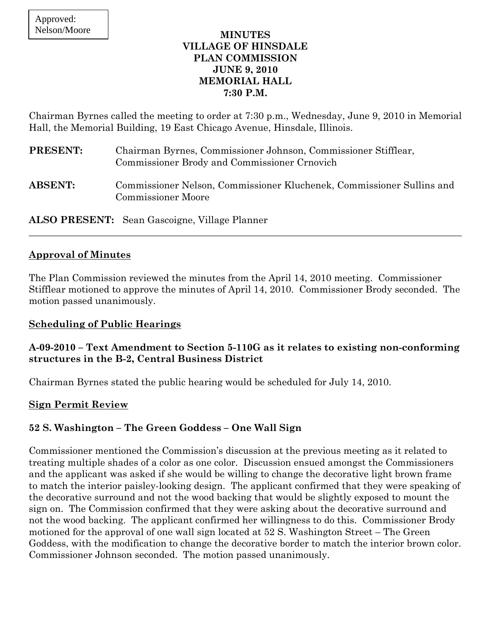## **MINUTES VILLAGE OF HINSDALE PLAN COMMISSION JUNE 9, 2010 MEMORIAL HALL 7:30 P.M.**

Chairman Byrnes called the meeting to order at 7:30 p.m., Wednesday, June 9, 2010 in Memorial Hall, the Memorial Building, 19 East Chicago Avenue, Hinsdale, Illinois.

| <b>PRESENT:</b> | Chairman Byrnes, Commissioner Johnson, Commissioner Stifflear,<br>Commissioner Brody and Commissioner Crnovich |
|-----------------|----------------------------------------------------------------------------------------------------------------|
| <b>ABSENT:</b>  | Commissioner Nelson, Commissioner Kluchenek, Commissioner Sullins and<br><b>Commissioner Moore</b>             |

**ALSO PRESENT:** Sean Gascoigne, Village Planner

# **Approval of Minutes**

The Plan Commission reviewed the minutes from the April 14, 2010 meeting. Commissioner Stifflear motioned to approve the minutes of April 14, 2010. Commissioner Brody seconded. The motion passed unanimously.

 $\_$  , and the set of the set of the set of the set of the set of the set of the set of the set of the set of the set of the set of the set of the set of the set of the set of the set of the set of the set of the set of th

### **Scheduling of Public Hearings**

# **A-09-2010 – Text Amendment to Section 5-110G as it relates to existing non-conforming structures in the B-2, Central Business District**

Chairman Byrnes stated the public hearing would be scheduled for July 14, 2010.

### **Sign Permit Review**

# **52 S. Washington – The Green Goddess – One Wall Sign**

Commissioner mentioned the Commission's discussion at the previous meeting as it related to treating multiple shades of a color as one color. Discussion ensued amongst the Commissioners and the applicant was asked if she would be willing to change the decorative light brown frame to match the interior paisley-looking design. The applicant confirmed that they were speaking of the decorative surround and not the wood backing that would be slightly exposed to mount the sign on. The Commission confirmed that they were asking about the decorative surround and not the wood backing. The applicant confirmed her willingness to do this. Commissioner Brody motioned for the approval of one wall sign located at 52 S. Washington Street – The Green Goddess, with the modification to change the decorative border to match the interior brown color. Commissioner Johnson seconded. The motion passed unanimously.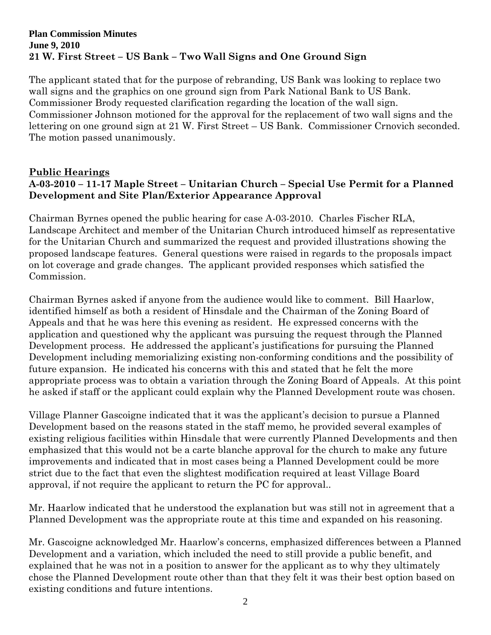### **Plan Commission Minutes June 9, 2010 21 W. First Street – US Bank – Two Wall Signs and One Ground Sign**

The applicant stated that for the purpose of rebranding, US Bank was looking to replace two wall signs and the graphics on one ground sign from Park National Bank to US Bank. Commissioner Brody requested clarification regarding the location of the wall sign. Commissioner Johnson motioned for the approval for the replacement of two wall signs and the lettering on one ground sign at 21 W. First Street – US Bank. Commissioner Crnovich seconded. The motion passed unanimously.

## **Public Hearings A-03-2010 – 11-17 Maple Street – Unitarian Church – Special Use Permit for a Planned Development and Site Plan/Exterior Appearance Approval**

Chairman Byrnes opened the public hearing for case A-03-2010. Charles Fischer RLA, Landscape Architect and member of the Unitarian Church introduced himself as representative for the Unitarian Church and summarized the request and provided illustrations showing the proposed landscape features. General questions were raised in regards to the proposals impact on lot coverage and grade changes. The applicant provided responses which satisfied the Commission.

Chairman Byrnes asked if anyone from the audience would like to comment. Bill Haarlow, identified himself as both a resident of Hinsdale and the Chairman of the Zoning Board of Appeals and that he was here this evening as resident. He expressed concerns with the application and questioned why the applicant was pursuing the request through the Planned Development process. He addressed the applicant's justifications for pursuing the Planned Development including memorializing existing non-conforming conditions and the possibility of future expansion. He indicated his concerns with this and stated that he felt the more appropriate process was to obtain a variation through the Zoning Board of Appeals. At this point he asked if staff or the applicant could explain why the Planned Development route was chosen.

Village Planner Gascoigne indicated that it was the applicant's decision to pursue a Planned Development based on the reasons stated in the staff memo, he provided several examples of existing religious facilities within Hinsdale that were currently Planned Developments and then emphasized that this would not be a carte blanche approval for the church to make any future improvements and indicated that in most cases being a Planned Development could be more strict due to the fact that even the slightest modification required at least Village Board approval, if not require the applicant to return the PC for approval..

Mr. Haarlow indicated that he understood the explanation but was still not in agreement that a Planned Development was the appropriate route at this time and expanded on his reasoning.

Mr. Gascoigne acknowledged Mr. Haarlow's concerns, emphasized differences between a Planned Development and a variation, which included the need to still provide a public benefit, and explained that he was not in a position to answer for the applicant as to why they ultimately chose the Planned Development route other than that they felt it was their best option based on existing conditions and future intentions.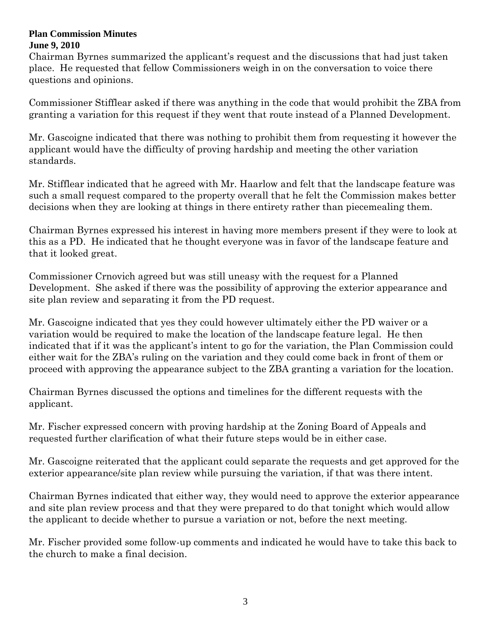#### **Plan Commission Minutes June 9, 2010**

Chairman Byrnes summarized the applicant's request and the discussions that had just taken place. He requested that fellow Commissioners weigh in on the conversation to voice there questions and opinions.

Commissioner Stifflear asked if there was anything in the code that would prohibit the ZBA from granting a variation for this request if they went that route instead of a Planned Development.

Mr. Gascoigne indicated that there was nothing to prohibit them from requesting it however the applicant would have the difficulty of proving hardship and meeting the other variation standards.

Mr. Stifflear indicated that he agreed with Mr. Haarlow and felt that the landscape feature was such a small request compared to the property overall that he felt the Commission makes better decisions when they are looking at things in there entirety rather than piecemealing them.

Chairman Byrnes expressed his interest in having more members present if they were to look at this as a PD. He indicated that he thought everyone was in favor of the landscape feature and that it looked great.

Commissioner Crnovich agreed but was still uneasy with the request for a Planned Development. She asked if there was the possibility of approving the exterior appearance and site plan review and separating it from the PD request.

Mr. Gascoigne indicated that yes they could however ultimately either the PD waiver or a variation would be required to make the location of the landscape feature legal. He then indicated that if it was the applicant's intent to go for the variation, the Plan Commission could either wait for the ZBA's ruling on the variation and they could come back in front of them or proceed with approving the appearance subject to the ZBA granting a variation for the location.

Chairman Byrnes discussed the options and timelines for the different requests with the applicant.

Mr. Fischer expressed concern with proving hardship at the Zoning Board of Appeals and requested further clarification of what their future steps would be in either case.

Mr. Gascoigne reiterated that the applicant could separate the requests and get approved for the exterior appearance/site plan review while pursuing the variation, if that was there intent.

Chairman Byrnes indicated that either way, they would need to approve the exterior appearance and site plan review process and that they were prepared to do that tonight which would allow the applicant to decide whether to pursue a variation or not, before the next meeting.

Mr. Fischer provided some follow-up comments and indicated he would have to take this back to the church to make a final decision.